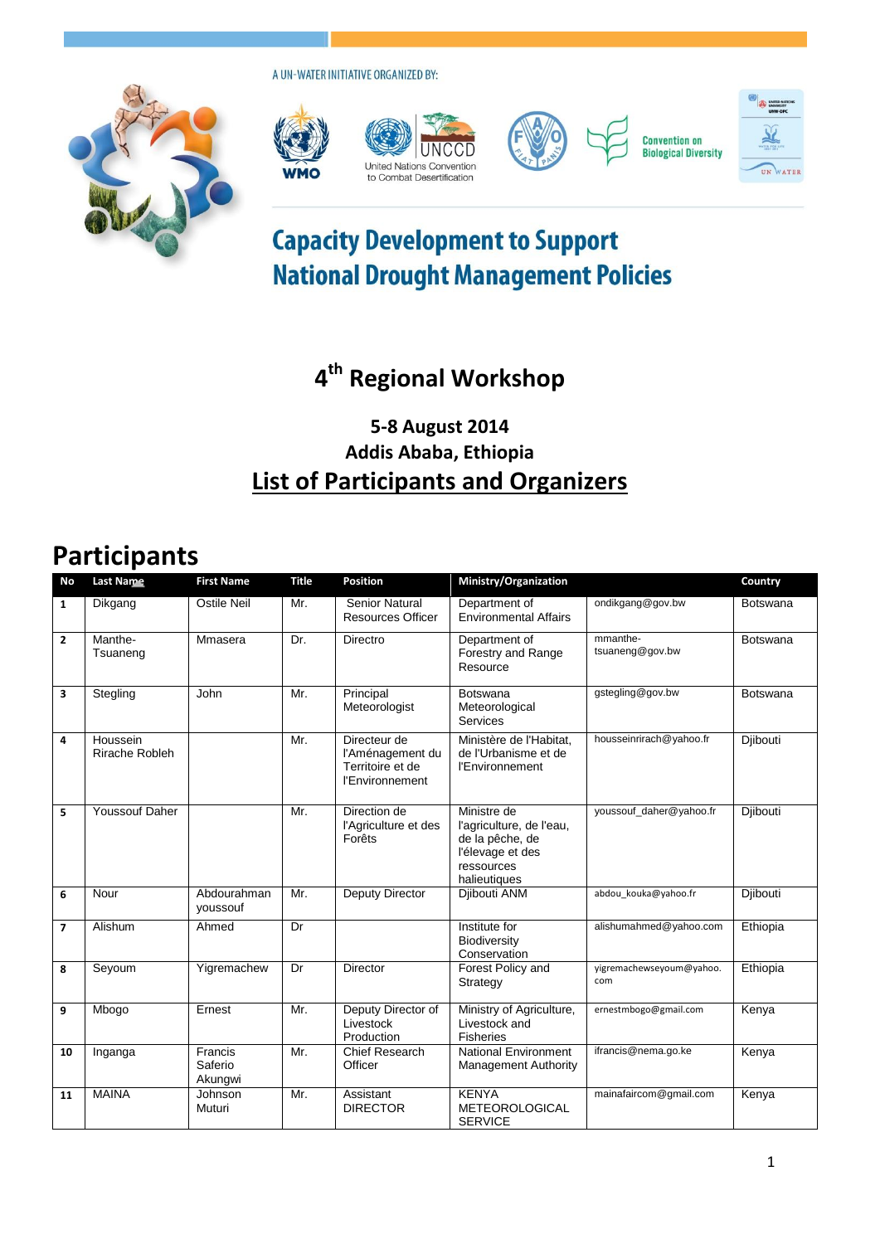A UN-WATER INITIATIVE ORGANIZED BY:



United Nations Convention to Combat Desertification





**Convention on<br>Biological Diversity** 



### **Capacity Development to Support National Drought Management Policies**

## **4 th Regional Workshop**

#### **5-8 August 2014 Addis Ababa, Ethiopia List of Participants and Organizers**

## **Participants**

| <b>No</b>      | <b>Last Name</b>           | <b>First Name</b>             | <b>Title</b> | Position                                                                                                                                      | Ministry/Organization                                                                                        |                                 | Country  |
|----------------|----------------------------|-------------------------------|--------------|-----------------------------------------------------------------------------------------------------------------------------------------------|--------------------------------------------------------------------------------------------------------------|---------------------------------|----------|
| $\mathbf{1}$   | Dikgang                    | Ostile Neil                   | Mr.          | <b>Senior Natural</b><br><b>Resources Officer</b>                                                                                             | Department of<br><b>Environmental Affairs</b>                                                                | ondikgang@gov.bw                | Botswana |
| $\overline{2}$ | Manthe-<br>Tsuaneng        | Mmasera                       | Dr.          | Directro                                                                                                                                      | Department of<br>Forestry and Range<br>Resource                                                              | mmanthe-<br>tsuaneng@gov.bw     | Botswana |
| 3              | Stegling                   | John                          | Mr.          | Principal<br>Meteorologist                                                                                                                    | <b>Botswana</b><br>Meteorological<br>Services                                                                | gstegling@gov.bw                | Botswana |
| 4              | Houssein<br>Rirache Robleh |                               | Mr.          | Directeur de<br>Ministère de l'Habitat,<br>l'Aménagement du<br>de l'Urbanisme et de<br>Territoire et de<br>l'Environnement<br>l'Environnement |                                                                                                              | housseinrirach@yahoo.fr         | Djibouti |
| 5              | Youssouf Daher             |                               | Mr.          | Direction de<br>l'Agriculture et des<br>Forêts                                                                                                | Ministre de<br>l'agriculture, de l'eau,<br>de la pêche, de<br>l'élevage et des<br>ressources<br>halieutiques | youssouf_daher@yahoo.fr         | Djibouti |
| 6              | Nour                       | Abdourahman<br>voussouf       | Mr.          | Deputy Director                                                                                                                               | Djibouti ANM                                                                                                 | abdou kouka@yahoo.fr            | Diibouti |
| $\overline{7}$ | Alishum                    | Ahmed                         | Dr           |                                                                                                                                               | Institute for<br>Biodiversity<br>Conservation                                                                | alishumahmed@yahoo.com          | Ethiopia |
| 8              | Seyoum                     | Yigremachew                   | Dr           | <b>Director</b>                                                                                                                               | Forest Policy and<br>Strategy                                                                                | yigremachewseyoum@yahoo.<br>com | Ethiopia |
| 9              | Mbogo                      | Ernest                        | Mr.          | Deputy Director of<br>Livestock<br>Production                                                                                                 | Ministry of Agriculture,<br>Livestock and<br>Fisheries                                                       | ernestmbogo@gmail.com           | Kenya    |
| 10             | Inganga                    | Francis<br>Saferio<br>Akungwi | Mr.          | Chief Research<br>Officer                                                                                                                     | <b>National Environment</b><br><b>Management Authority</b>                                                   | ifrancis@nema.go.ke             | Kenya    |
| 11             | <b>MAINA</b>               | Johnson<br>Muturi             | Mr.          | Assistant<br><b>DIRECTOR</b>                                                                                                                  | <b>KENYA</b><br><b>METEOROLOGICAL</b><br><b>SERVICE</b>                                                      | mainafaircom@gmail.com          | Kenya    |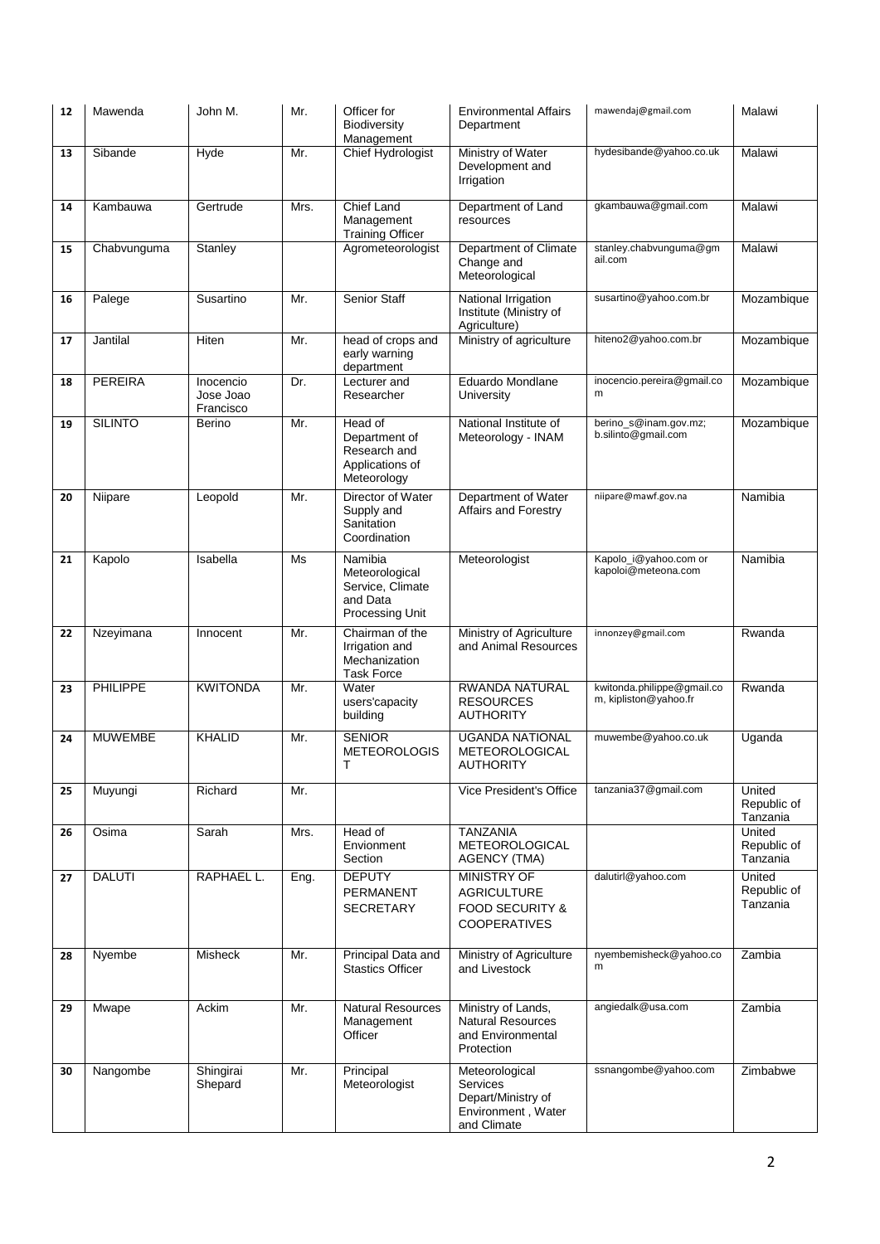| 12 | Mawenda        | John M.                             | Mr.  | Officer for<br>Biodiversity<br>Management                                                                                 | <b>Environmental Affairs</b><br>Department                                                   | mawendaj@gmail.com                                  | Malawi                            |
|----|----------------|-------------------------------------|------|---------------------------------------------------------------------------------------------------------------------------|----------------------------------------------------------------------------------------------|-----------------------------------------------------|-----------------------------------|
| 13 | Sibande        | Hyde                                | Mr.  | Chief Hydrologist<br>Ministry of Water<br>Development and<br>Irrigation                                                   |                                                                                              | hydesibande@yahoo.co.uk                             | Malawi                            |
| 14 | Kambauwa       | Gertrude                            | Mrs. | Chief Land<br>Department of Land<br>Management<br>resources<br><b>Training Officer</b>                                    |                                                                                              | gkambauwa@gmail.com                                 | Malawi                            |
| 15 | Chabvunguma    | Stanley                             |      | Agrometeorologist                                                                                                         | Department of Climate<br>Change and<br>Meteorological                                        | stanley.chabvunguma@gm<br>ail.com                   | Malawi                            |
| 16 | Palege         | Susartino                           | Mr.  | Senior Staff                                                                                                              | National Irrigation<br>Institute (Ministry of<br>Agriculture)                                | susartino@yahoo.com.br                              | Mozambique                        |
| 17 | Jantilal       | Hiten                               | Mr.  | head of crops and<br>early warning<br>department                                                                          | Ministry of agriculture                                                                      | hiteno2@yahoo.com.br                                | Mozambique                        |
| 18 | <b>PEREIRA</b> | Inocencio<br>Jose Joao<br>Francisco | Dr.  | Lecturer and<br>Researcher                                                                                                | Eduardo Mondlane<br>University                                                               | inocencio.pereira@gmail.co<br>m                     | Mozambique                        |
| 19 | <b>SILINTO</b> | Berino                              | Mr.  | Head of<br>National Institute of<br>Department of<br>Meteorology - INAM<br>Research and<br>Applications of<br>Meteorology |                                                                                              | berino_s@inam.gov.mz;<br>b.silinto@gmail.com        | Mozambique                        |
| 20 | Niipare        | Leopold                             | Mr.  | Director of Water<br>Department of Water<br>Supply and<br>Affairs and Forestry<br>Sanitation<br>Coordination              |                                                                                              | niipare@mawf.gov.na                                 | Namibia                           |
| 21 | Kapolo         | Isabella                            | Ms   | Namibia<br>Meteorological<br>Service, Climate<br>and Data<br>Processing Unit                                              | Meteorologist                                                                                | Kapolo_i@yahoo.com or<br>kapoloi@meteona.com        | Namibia                           |
| 22 | Nzeyimana      | Innocent                            | Mr.  | Chairman of the<br>Irrigation and<br>Mechanization<br><b>Task Force</b>                                                   | Ministry of Agriculture<br>and Animal Resources                                              | innonzey@gmail.com                                  | Rwanda                            |
| 23 | PHILIPPE       | <b>KWITONDA</b>                     | Mr.  | Water<br>users'capacity<br>building                                                                                       | <b>RWANDA NATURAL</b><br><b>RESOURCES</b><br><b>AUTHORITY</b>                                | kwitonda.philippe@gmail.co<br>m, kipliston@yahoo.fr | Rwanda                            |
| 24 | <b>MUWEMBE</b> | <b>KHALID</b>                       | Mr.  | <b>SENIOR</b><br><b>METEOROLOGIS</b><br>т                                                                                 | <b>UGANDA NATIONAL</b><br><b>METEOROLOGICAL</b><br><b>AUTHORITY</b>                          | muwembe@yahoo.co.uk                                 | Uganda                            |
| 25 | Muyungi        | Richard                             | Mr.  |                                                                                                                           | tanzania37@gmail.com<br>Vice President's Office                                              |                                                     | United<br>Republic of<br>Tanzania |
| 26 | Osima          | Sarah                               | Mrs. | Head of<br>Envionment<br>Section                                                                                          | <b>TANZANIA</b><br>METEOROLOGICAL<br>AGENCY (TMA)                                            |                                                     | United<br>Republic of<br>Tanzania |
| 27 | <b>DALUTI</b>  | RAPHAEL L.                          | Eng. | <b>DEPUTY</b><br>PERMANENT<br><b>SECRETARY</b>                                                                            | <b>MINISTRY OF</b><br><b>AGRICULTURE</b><br>FOOD SECURITY &<br><b>COOPERATIVES</b>           | dalutirl@yahoo.com                                  | United<br>Republic of<br>Tanzania |
| 28 | Nyembe         | Misheck                             | Mr.  | Principal Data and<br><b>Stastics Officer</b>                                                                             | Ministry of Agriculture<br>and Livestock                                                     | nyembemisheck@yahoo.co<br>m                         | Zambia                            |
| 29 | Mwape          | Ackim                               | Mr.  | <b>Natural Resources</b><br>Management<br>Officer                                                                         | Ministry of Lands,<br><b>Natural Resources</b><br>and Environmental<br>Protection            | angiedalk@usa.com                                   | Zambia                            |
| 30 | Nangombe       | Shingirai<br>Shepard                | Mr.  | Principal<br>Meteorologist                                                                                                | Meteorological<br><b>Services</b><br>Depart/Ministry of<br>Environment, Water<br>and Climate | ssnangombe@yahoo.com                                | Zimbabwe                          |